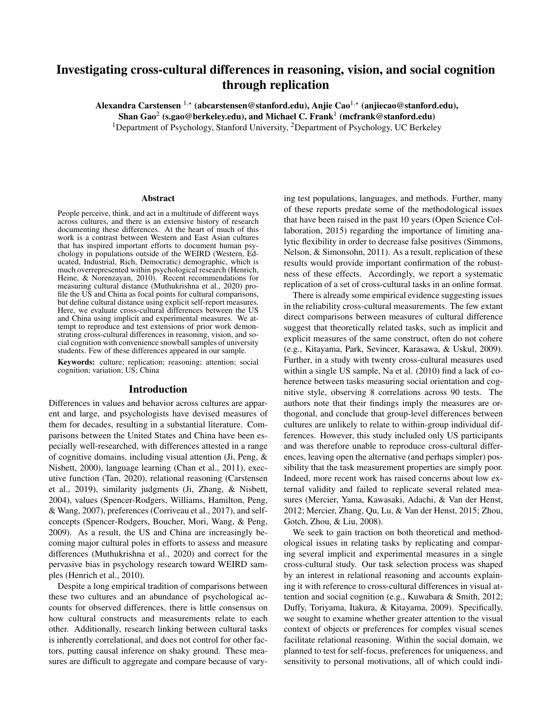# Investigating cross-cultural differences in reasoning, vision, and social cognition through replication

Alexandra Carstensen  $^{1,\star}$  (abcarstensen@stanford.edu), Anjie Cao<sup>1, $\star$ </sup> (anjiecao@stanford.edu),

Shan Gao $^2$  (s.gao@berkeley.edu), and Michael C. Frank $^1$  (mcfrank@stanford.edu)

<sup>1</sup>Department of Psychology, Stanford University, <sup>2</sup>Department of Psychology, UC Berkeley

#### Abstract

People perceive, think, and act in a multitude of different ways across cultures, and there is an extensive history of research documenting these differences. At the heart of much of this work is a contrast between Western and East Asian cultures that has inspired important efforts to document human psychology in populations outside of the WEIRD (Western, Educated, Industrial, Rich, Democratic) demographic, which is much overrepresented within psychological research (Henrich, Heine, & Norenzayan, 2010). Recent recommendations for measuring cultural distance (Muthukrishna et al., 2020) profile the US and China as focal points for cultural comparisons, but define cultural distance using explicit self-report measures. Here, we evaluate cross-cultural differences between the US and China using implicit and experimental measures. We attempt to reproduce and test extensions of prior work demonstrating cross-cultural differences in reasoning, vision, and social cognition with convenience snowball samples of university students. Few of these differences appeared in our sample.

Keywords: culture; replication; reasoning; attention; social cognition; variation; US; China

#### Introduction

Differences in values and behavior across cultures are apparent and large, and psychologists have devised measures of them for decades, resulting in a substantial literature. Comparisons between the United States and China have been especially well-researched, with differences attested in a range of cognitive domains, including visual attention (Ji, Peng, & Nisbett, 2000), language learning (Chan et al., 2011), executive function (Tan, 2020), relational reasoning (Carstensen et al., 2019), similarity judgments (Ji, Zhang, & Nisbett, 2004), values (Spencer-Rodgers, Williams, Hamilton, Peng, & Wang, 2007), preferences (Corriveau et al., 2017), and selfconcepts (Spencer-Rodgers, Boucher, Mori, Wang, & Peng, 2009). As a result, the US and China are increasingly becoming major cultural poles in efforts to assess and measure differences (Muthukrishna et al., 2020) and correct for the pervasive bias in psychology research toward WEIRD samples (Henrich et al., 2010).

Despite a long empirical tradition of comparisons between these two cultures and an abundance of psychological accounts for observed differences, there is little consensus on how cultural constructs and measurements relate to each other. Additionally, research linking between cultural tasks is inherently correlational, and does not control for other factors, putting causal inference on shaky ground. These measures are difficult to aggregate and compare because of varying test populations, languages, and methods. Further, many of these reports predate some of the methodological issues that have been raised in the past 10 years (Open Science Collaboration, 2015) regarding the importance of limiting analytic flexibility in order to decrease false positives (Simmons, Nelson, & Simonsohn, 2011). As a result, replication of these results would provide important confirmation of the robustness of these effects. Accordingly, we report a systematic replication of a set of cross-cultural tasks in an online format.

There is already some empirical evidence suggesting issues in the reliability cross-cultural measurements. The few extant direct comparisons between measures of cultural difference suggest that theoretically related tasks, such as implicit and explicit measures of the same construct, often do not cohere (e.g., Kitayama, Park, Sevincer, Karasawa, & Uskul, 2009). Further, in a study with twenty cross-cultural measures used within a single US sample, Na et al. (2010) find a lack of coherence between tasks measuring social orientation and cognitive style, observing 8 correlations across 90 tests. The authors note that their findings imply the measures are orthogonal, and conclude that group-level differences between cultures are unlikely to relate to within-group individual differences. However, this study included only US participants and was therefore unable to reproduce cross-cultural differences, leaving open the alternative (and perhaps simpler) possibility that the task measurement properties are simply poor. Indeed, more recent work has raised concerns about low external validity and failed to replicate several related measures (Mercier, Yama, Kawasaki, Adachi, & Van der Henst, 2012; Mercier, Zhang, Qu, Lu, & Van der Henst, 2015; Zhou, Gotch, Zhou, & Liu, 2008).

We seek to gain traction on both theoretical and methodological issues in relating tasks by replicating and comparing several implicit and experimental measures in a single cross-cultural study. Our task selection process was shaped by an interest in relational reasoning and accounts explaining it with reference to cross-cultural differences in visual attention and social cognition (e.g., Kuwabara & Smith, 2012; Duffy, Toriyama, Itakura, & Kitayama, 2009). Specifically, we sought to examine whether greater attention to the visual context of objects or preferences for complex visual scenes facilitate relational reasoning. Within the social domain, we planned to test for self-focus, preferences for uniqueness, and sensitivity to personal motivations, all of which could indi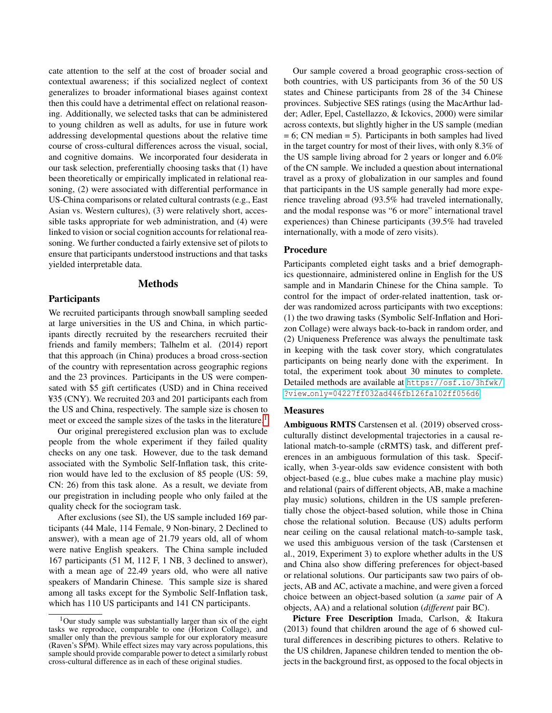cate attention to the self at the cost of broader social and contextual awareness; if this socialized neglect of context generalizes to broader informational biases against context then this could have a detrimental effect on relational reasoning. Additionally, we selected tasks that can be administered to young children as well as adults, for use in future work addressing developmental questions about the relative time course of cross-cultural differences across the visual, social, and cognitive domains. We incorporated four desiderata in our task selection, preferentially choosing tasks that (1) have been theoretically or empirically implicated in relational reasoning, (2) were associated with differential performance in US-China comparisons or related cultural contrasts (e.g., East Asian vs. Western cultures), (3) were relatively short, accessible tasks appropriate for web administration, and (4) were linked to vision or social cognition accounts for relational reasoning. We further conducted a fairly extensive set of pilots to ensure that participants understood instructions and that tasks yielded interpretable data.

## Methods

### **Participants**

We recruited participants through snowball sampling seeded at large universities in the US and China, in which participants directly recruited by the researchers recruited their friends and family members; Talhelm et al. (2014) report that this approach (in China) produces a broad cross-section of the country with representation across geographic regions and the 23 provinces. Participants in the US were compensated with \$5 gift certificates (USD) and in China received ¥35 (CNY). We recruited 203 and 201 participants each from the US and China, respectively. The sample size is chosen to meet or exceed the sample sizes of the tasks in the literature.<sup>[1](#page-1-0)</sup>

Our original preregistered exclusion plan was to exclude people from the whole experiment if they failed quality checks on any one task. However, due to the task demand associated with the Symbolic Self-Inflation task, this criterion would have led to the exclusion of 85 people (US: 59, CN: 26) from this task alone. As a result, we deviate from our pregistration in including people who only failed at the quality check for the sociogram task.

After exclusions (see SI), the US sample included 169 participants (44 Male, 114 Female, 9 Non-binary, 2 Declined to answer), with a mean age of 21.79 years old, all of whom were native English speakers. The China sample included 167 participants (51 M, 112 F, 1 NB, 3 declined to answer), with a mean age of 22.49 years old, who were all native speakers of Mandarin Chinese. This sample size is shared among all tasks except for the Symbolic Self-Inflation task, which has 110 US participants and 141 CN participants.

Our sample covered a broad geographic cross-section of both countries, with US participants from 36 of the 50 US states and Chinese participants from 28 of the 34 Chinese provinces. Subjective SES ratings (using the MacArthur ladder; Adler, Epel, Castellazzo, & Ickovics, 2000) were similar across contexts, but slightly higher in the US sample (median  $= 6$ ; CN median  $= 5$ ). Participants in both samples had lived in the target country for most of their lives, with only 8.3% of the US sample living abroad for 2 years or longer and 6.0% of the CN sample. We included a question about international travel as a proxy of globalization in our samples and found that participants in the US sample generally had more experience traveling abroad (93.5% had traveled internationally, and the modal response was "6 or more" international travel experiences) than Chinese participants (39.5% had traveled internationally, with a mode of zero visits).

#### Procedure

Participants completed eight tasks and a brief demographics questionnaire, administered online in English for the US sample and in Mandarin Chinese for the China sample. To control for the impact of order-related inattention, task order was randomized across participants with two exceptions: (1) the two drawing tasks (Symbolic Self-Inflation and Horizon Collage) were always back-to-back in random order, and (2) Uniqueness Preference was always the penultimate task in keeping with the task cover story, which congratulates participants on being nearly done with the experiment. In total, the experiment took about 30 minutes to complete. Detailed methods are available at [https://osf.io/3hfwk/](https://osf.io/3hfwk/?view_only=04227ff032ad446fb126fa102ff056d6) ?view [only=04227ff032ad446fb126fa102ff056d6](https://osf.io/3hfwk/?view_only=04227ff032ad446fb126fa102ff056d6)

#### **Measures**

Ambiguous RMTS Carstensen et al. (2019) observed crossculturally distinct developmental trajectories in a causal relational match-to-sample (cRMTS) task, and different preferences in an ambiguous formulation of this task. Specifically, when 3-year-olds saw evidence consistent with both object-based (e.g., blue cubes make a machine play music) and relational (pairs of different objects, AB, make a machine play music) solutions, children in the US sample preferentially chose the object-based solution, while those in China chose the relational solution. Because (US) adults perform near ceiling on the causal relational match-to-sample task, we used this ambiguous version of the task (Carstensen et al., 2019, Experiment 3) to explore whether adults in the US and China also show differing preferences for object-based or relational solutions. Our participants saw two pairs of objects, AB and AC, activate a machine, and were given a forced choice between an object-based solution (a *same* pair of A objects, AA) and a relational solution (*different* pair BC).

Picture Free Description Imada, Carlson, & Itakura (2013) found that children around the age of 6 showed cultural differences in describing pictures to others. Relative to the US children, Japanese children tended to mention the objects in the background first, as opposed to the focal objects in

<span id="page-1-0"></span><sup>1</sup>Our study sample was substantially larger than six of the eight tasks we reproduce, comparable to one (Horizon Collage), and smaller only than the previous sample for our exploratory measure (Raven's SPM). While effect sizes may vary across populations, this sample should provide comparable power to detect a similarly robust cross-cultural difference as in each of these original studies.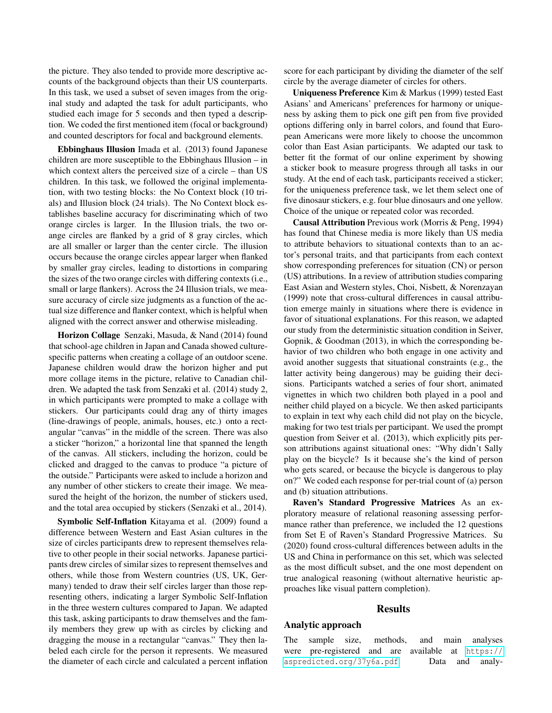the picture. They also tended to provide more descriptive accounts of the background objects than their US counterparts. In this task, we used a subset of seven images from the original study and adapted the task for adult participants, who studied each image for 5 seconds and then typed a description. We coded the first mentioned item (focal or background) and counted descriptors for focal and background elements.

Ebbinghaus Illusion Imada et al. (2013) found Japanese children are more susceptible to the Ebbinghaus Illusion – in which context alters the perceived size of a circle – than US children. In this task, we followed the original implementation, with two testing blocks: the No Context block (10 trials) and Illusion block (24 trials). The No Context block establishes baseline accuracy for discriminating which of two orange circles is larger. In the Illusion trials, the two orange circles are flanked by a grid of 8 gray circles, which are all smaller or larger than the center circle. The illusion occurs because the orange circles appear larger when flanked by smaller gray circles, leading to distortions in comparing the sizes of the two orange circles with differing contexts (i.e., small or large flankers). Across the 24 Illusion trials, we measure accuracy of circle size judgments as a function of the actual size difference and flanker context, which is helpful when aligned with the correct answer and otherwise misleading.

Horizon Collage Senzaki, Masuda, & Nand (2014) found that school-age children in Japan and Canada showed culturespecific patterns when creating a collage of an outdoor scene. Japanese children would draw the horizon higher and put more collage items in the picture, relative to Canadian children. We adapted the task from Senzaki et al. (2014) study 2, in which participants were prompted to make a collage with stickers. Our participants could drag any of thirty images (line-drawings of people, animals, houses, etc.) onto a rectangular "canvas" in the middle of the screen. There was also a sticker "horizon," a horizontal line that spanned the length of the canvas. All stickers, including the horizon, could be clicked and dragged to the canvas to produce "a picture of the outside." Participants were asked to include a horizon and any number of other stickers to create their image. We measured the height of the horizon, the number of stickers used, and the total area occupied by stickers (Senzaki et al., 2014).

Symbolic Self-Inflation Kitayama et al. (2009) found a difference between Western and East Asian cultures in the size of circles participants drew to represent themselves relative to other people in their social networks. Japanese participants drew circles of similar sizes to represent themselves and others, while those from Western countries (US, UK, Germany) tended to draw their self circles larger than those representing others, indicating a larger Symbolic Self-Inflation in the three western cultures compared to Japan. We adapted this task, asking participants to draw themselves and the family members they grew up with as circles by clicking and dragging the mouse in a rectangular "canvas." They then labeled each circle for the person it represents. We measured the diameter of each circle and calculated a percent inflation score for each participant by dividing the diameter of the self circle by the average diameter of circles for others.

Uniqueness Preference Kim & Markus (1999) tested East Asians' and Americans' preferences for harmony or uniqueness by asking them to pick one gift pen from five provided options differing only in barrel colors, and found that European Americans were more likely to choose the uncommon color than East Asian participants. We adapted our task to better fit the format of our online experiment by showing a sticker book to measure progress through all tasks in our study. At the end of each task, participants received a sticker; for the uniqueness preference task, we let them select one of five dinosaur stickers, e.g. four blue dinosaurs and one yellow. Choice of the unique or repeated color was recorded.

Causal Attribution Previous work (Morris & Peng, 1994) has found that Chinese media is more likely than US media to attribute behaviors to situational contexts than to an actor's personal traits, and that participants from each context show corresponding preferences for situation (CN) or person (US) attributions. In a review of attribution studies comparing East Asian and Western styles, Choi, Nisbett, & Norenzayan (1999) note that cross-cultural differences in causal attribution emerge mainly in situations where there is evidence in favor of situational explanations. For this reason, we adapted our study from the deterministic situation condition in Seiver, Gopnik, & Goodman (2013), in which the corresponding behavior of two children who both engage in one activity and avoid another suggests that situational constraints (e.g., the latter activity being dangerous) may be guiding their decisions. Participants watched a series of four short, animated vignettes in which two children both played in a pool and neither child played on a bicycle. We then asked participants to explain in text why each child did not play on the bicycle, making for two test trials per participant. We used the prompt question from Seiver et al. (2013), which explicitly pits person attributions against situational ones: "Why didn't Sally play on the bicycle? Is it because she's the kind of person who gets scared, or because the bicycle is dangerous to play on?" We coded each response for per-trial count of (a) person and (b) situation attributions.

Raven's Standard Progressive Matrices As an exploratory measure of relational reasoning assessing performance rather than preference, we included the 12 questions from Set E of Raven's Standard Progressive Matrices. Su (2020) found cross-cultural differences between adults in the US and China in performance on this set, which was selected as the most difficult subset, and the one most dependent on true analogical reasoning (without alternative heuristic approaches like visual pattern completion).

## Results

### Analytic approach

The sample size, methods, and main analyses were pre-registered and are available at [https://](https://aspredicted.org/37y6a.pdf) [aspredicted.org/37y6a.pdf](https://aspredicted.org/37y6a.pdf). Data and analy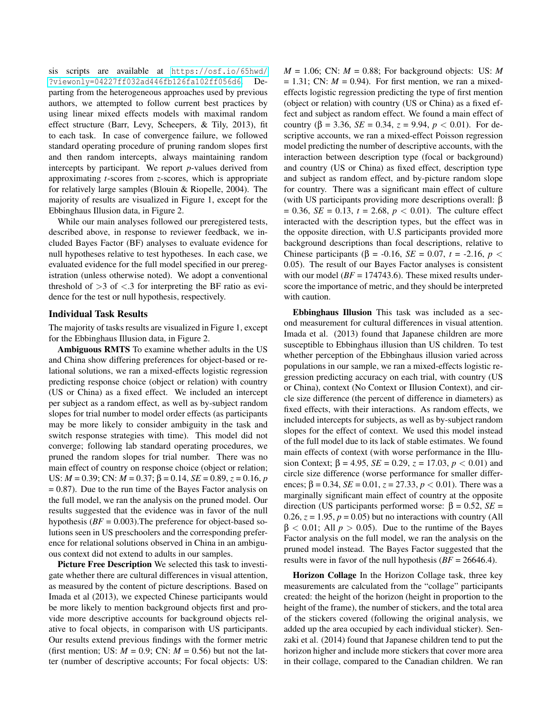sis scripts are available at [https://osf.io/65hwd/](https://osf.io/65hwd/?viewonly=04227ff032ad446fb126fa102ff056d6) [?viewonly=04227ff032ad446fb126fa102ff056d6](https://osf.io/65hwd/?viewonly=04227ff032ad446fb126fa102ff056d6). Departing from the heterogeneous approaches used by previous authors, we attempted to follow current best practices by using linear mixed effects models with maximal random effect structure (Barr, Levy, Scheepers, & Tily, 2013), fit to each task. In case of convergence failure, we followed standard operating procedure of pruning random slopes first and then random intercepts, always maintaining random intercepts by participant. We report *p*-values derived from approximating *t*-scores from *z*-scores, which is appropriate for relatively large samples (Blouin & Riopelle, 2004). The majority of results are visualized in Figure 1, except for the Ebbinghaus Illusion data, in Figure 2.

While our main analyses followed our preregistered tests, described above, in response to reviewer feedback, we included Bayes Factor (BF) analyses to evaluate evidence for null hypotheses relative to test hypotheses. In each case, we evaluated evidence for the full model specified in our preregistration (unless otherwise noted). We adopt a conventional threshold of  $>3$  of  $<$ .3 for interpreting the BF ratio as evidence for the test or null hypothesis, respectively.

#### Individual Task Results

The majority of tasks results are visualized in Figure 1, except for the Ebbinghaus Illusion data, in Figure 2.

Ambiguous RMTS To examine whether adults in the US and China show differing preferences for object-based or relational solutions, we ran a mixed-effects logistic regression predicting response choice (object or relation) with country (US or China) as a fixed effect. We included an intercept per subject as a random effect, as well as by-subject random slopes for trial number to model order effects (as participants may be more likely to consider ambiguity in the task and switch response strategies with time). This model did not converge; following lab standard operating procedures, we pruned the random slopes for trial number. There was no main effect of country on response choice (object or relation; US: *M* = 0.39; CN: *M* = 0.37; β = 0.14, *SE* = 0.89, *z* = 0.16, *p*  $= 0.87$ ). Due to the run time of the Bayes Factor analysis on the full model, we ran the analysis on the pruned model. Our results suggested that the evidence was in favor of the null hypothesis  $(BF = 0.003)$ . The preference for object-based solutions seen in US preschoolers and the corresponding preference for relational solutions observed in China in an ambiguous context did not extend to adults in our samples.

Picture Free Description We selected this task to investigate whether there are cultural differences in visual attention, as measured by the content of picture descriptions. Based on Imada et al (2013), we expected Chinese participants would be more likely to mention background objects first and provide more descriptive accounts for background objects relative to focal objects, in comparison with US participants. Our results extend previous findings with the former metric (first mention; US:  $M = 0.9$ ; CN:  $M = 0.56$ ) but not the latter (number of descriptive accounts; For focal objects: US:  $M = 1.06$ ; CN:  $M = 0.88$ ; For background objects: US: M  $= 1.31$ ; CN:  $M = 0.94$ ). For first mention, we ran a mixedeffects logistic regression predicting the type of first mention (object or relation) with country (US or China) as a fixed effect and subject as random effect. We found a main effect of country (β = 3.36, *SE* = 0.34, *z* = 9.94, *p* < 0.01). For descriptive accounts, we ran a mixed-effect Poisson regression model predicting the number of descriptive accounts, with the interaction between description type (focal or background) and country (US or China) as fixed effect, description type and subject as random effect, and by-picture random slope for country. There was a significant main effect of culture (with US participants providing more descriptions overall: β  $= 0.36$ , *SE* = 0.13, *t* = 2.68, *p* < 0.01). The culture effect interacted with the description types, but the effect was in the opposite direction, with U.S participants provided more background descriptions than focal descriptions, relative to Chinese participants (β = -0.16, *SE* = 0.07, *t* = -2.16, *p* < 0.05). The result of our Bayes Factor analyses is consistent with our model  $(BF = 174743.6)$ . These mixed results underscore the importance of metric, and they should be interpreted with caution.

Ebbinghaus Illusion This task was included as a second measurement for cultural differences in visual attention. Imada et al. (2013) found that Japanese children are more susceptible to Ebbinghaus illusion than US children. To test whether perception of the Ebbinghaus illusion varied across populations in our sample, we ran a mixed-effects logistic regression predicting accuracy on each trial, with country (US or China), context (No Context or Illusion Context), and circle size difference (the percent of difference in diameters) as fixed effects, with their interactions. As random effects, we included intercepts for subjects, as well as by-subject random slopes for the effect of context. We used this model instead of the full model due to its lack of stable estimates. We found main effects of context (with worse performance in the Illusion Context;  $\beta = 4.95$ ,  $SE = 0.29$ ,  $z = 17.03$ ,  $p < 0.01$ ) and circle size difference (worse performance for smaller differences;  $β = 0.34$ ,  $SE = 0.01$ ,  $z = 27.33$ ,  $p < 0.01$ ). There was a marginally significant main effect of country at the opposite direction (US participants performed worse: β = 0.52, *SE* =  $0.26$ ,  $z = 1.95$ ,  $p = 0.05$ ) but no interactions with country (All  $\beta$  < 0.01; All  $p > 0.05$ ). Due to the runtime of the Bayes Factor analysis on the full model, we ran the analysis on the pruned model instead. The Bayes Factor suggested that the results were in favor of the null hypothesis (*BF* = 26646.4).

Horizon Collage In the Horizon Collage task, three key measurements are calculated from the "collage" participants created: the height of the horizon (height in proportion to the height of the frame), the number of stickers, and the total area of the stickers covered (following the original analysis, we added up the area occupied by each individual sticker). Senzaki et al. (2014) found that Japanese children tend to put the horizon higher and include more stickers that cover more area in their collage, compared to the Canadian children. We ran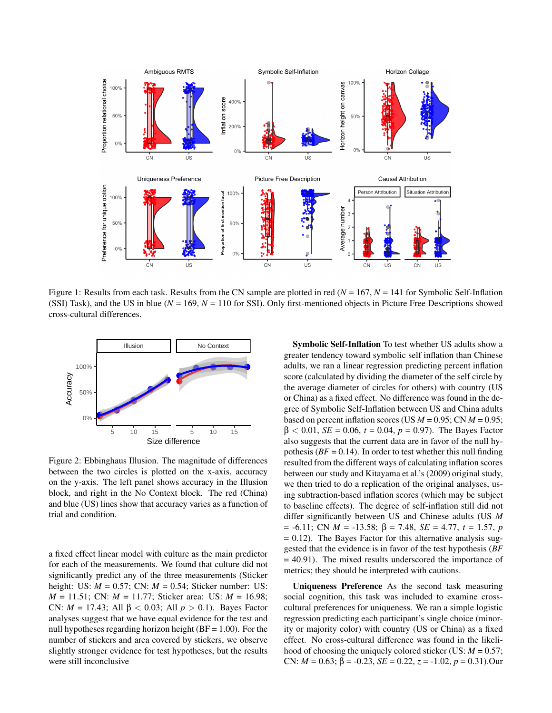

Figure 1: Results from each task. Results from the CN sample are plotted in red ( $N = 167$ ,  $N = 141$  for Symbolic Self-Inflation (SSI) Task), and the US in blue (*N* = 169, *N* = 110 for SSI). Only first-mentioned objects in Picture Free Descriptions showed cross-cultural differences.



Figure 2: Ebbinghaus Illusion. The magnitude of differences between the two circles is plotted on the x-axis, accuracy on the y-axis. The left panel shows accuracy in the Illusion block, and right in the No Context block. The red (China) and blue (US) lines show that accuracy varies as a function of trial and condition.

a fixed effect linear model with culture as the main predictor for each of the measurements. We found that culture did not significantly predict any of the three measurements (Sticker height: US: *M* = 0.57; CN: *M* = 0.54; Sticker number: US: *M* = 11.51; CN: *M* = 11.77; Sticker area: US: *M* = 16.98; CN: *M* = 17.43; All β < 0.03; All *p* > 0.1). Bayes Factor analyses suggest that we have equal evidence for the test and null hypotheses regarding horizon height ( $BF = 1.00$ ). For the number of stickers and area covered by stickers, we observe slightly stronger evidence for test hypotheses, but the results were still inconclusive

Symbolic Self-Inflation To test whether US adults show a greater tendency toward symbolic self inflation than Chinese adults, we ran a linear regression predicting percent inflation score (calculated by dividing the diameter of the self circle by the average diameter of circles for others) with country (US or China) as a fixed effect. No difference was found in the degree of Symbolic Self-Inflation between US and China adults based on percent inflation scores (US  $M = 0.95$ ; CN  $M = 0.95$ ; β < 0.01, *SE* = 0.06, *t* = 0.04, *p* = 0.97). The Bayes Factor also suggests that the current data are in favor of the null hypothesis ( $BF = 0.14$ ). In order to test whether this null finding resulted from the different ways of calculating inflation scores between our study and Kitayama et al.'s (2009) original study, we then tried to do a replication of the original analyses, using subtraction-based inflation scores (which may be subject to baseline effects). The degree of self-inflation still did not differ significantly between US and Chinese adults (US *M* = -6.11; CN *M* = -13.58; β = 7.48, *SE* = 4.77, *t* = 1.57, *p*  $= 0.12$ ). The Bayes Factor for this alternative analysis suggested that the evidence is in favor of the test hypothesis (*BF* = 40.91). The mixed results underscored the importance of metrics; they should be interpreted with cautions.

Uniqueness Preference As the second task measuring social cognition, this task was included to examine crosscultural preferences for uniqueness. We ran a simple logistic regression predicting each participant's single choice (minority or majority color) with country (US or China) as a fixed effect. No cross-cultural difference was found in the likelihood of choosing the uniquely colored sticker (US: *M* = 0.57; CN: *M* = 0.63; β = -0.23, *SE* = 0.22, *z* = -1.02, *p* = 0.31).Our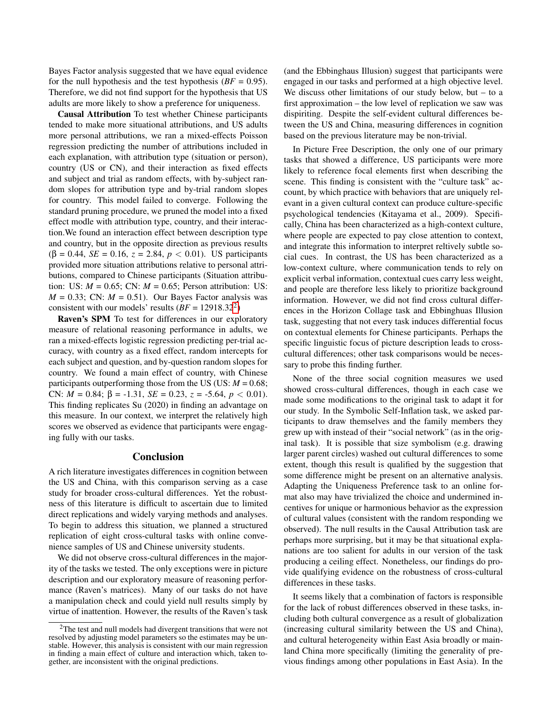Bayes Factor analysis suggested that we have equal evidence for the null hypothesis and the test hypothesis ( $BF = 0.95$ ). Therefore, we did not find support for the hypothesis that US adults are more likely to show a preference for uniqueness.

Causal Attribution To test whether Chinese participants tended to make more situational attributions, and US adults more personal attributions, we ran a mixed-effects Poisson regression predicting the number of attributions included in each explanation, with attribution type (situation or person), country (US or CN), and their interaction as fixed effects and subject and trial as random effects, with by-subject random slopes for attribution type and by-trial random slopes for country. This model failed to converge. Following the standard pruning procedure, we pruned the model into a fixed effect modle with attribution type, country, and their interaction.We found an interaction effect between description type and country, but in the opposite direction as previous results  $(\beta = 0.44, SE = 0.16, z = 2.84, p < 0.01)$ . US participants provided more situation attributions relative to personal attributions, compared to Chinese participants (Situation attribution: US:  $M = 0.65$ ; CN:  $M = 0.65$ ; Person attribution: US:  $M = 0.33$ ; CN:  $M = 0.51$ ). Our Bayes Factor analysis was consistent with our models' results  $(BF = 12918.32^2)$  $(BF = 12918.32^2)$  $(BF = 12918.32^2)$ 

Raven's SPM To test for differences in our exploratory measure of relational reasoning performance in adults, we ran a mixed-effects logistic regression predicting per-trial accuracy, with country as a fixed effect, random intercepts for each subject and question, and by-question random slopes for country. We found a main effect of country, with Chinese participants outperforming those from the US (US:  $M = 0.68$ ; CN:  $M = 0.84$ ;  $β = -1.31$ ,  $SE = 0.23$ ,  $z = -5.64$ ,  $p < 0.01$ ). This finding replicates Su (2020) in finding an advantage on this measure. In our context, we interpret the relatively high scores we observed as evidence that participants were engaging fully with our tasks.

#### Conclusion

A rich literature investigates differences in cognition between the US and China, with this comparison serving as a case study for broader cross-cultural differences. Yet the robustness of this literature is difficult to ascertain due to limited direct replications and widely varying methods and analyses. To begin to address this situation, we planned a structured replication of eight cross-cultural tasks with online convenience samples of US and Chinese university students.

We did not observe cross-cultural differences in the majority of the tasks we tested. The only exceptions were in picture description and our exploratory measure of reasoning performance (Raven's matrices). Many of our tasks do not have a manipulation check and could yield null results simply by virtue of inattention. However, the results of the Raven's task (and the Ebbinghaus Illusion) suggest that participants were engaged in our tasks and performed at a high objective level. We discuss other limitations of our study below, but – to a first approximation – the low level of replication we saw was dispiriting. Despite the self-evident cultural differences between the US and China, measuring differences in cognition based on the previous literature may be non-trivial.

In Picture Free Description, the only one of our primary tasks that showed a difference, US participants were more likely to reference focal elements first when describing the scene. This finding is consistent with the "culture task" account, by which practice with behaviors that are uniquely relevant in a given cultural context can produce culture-specific psychological tendencies (Kitayama et al., 2009). Specifically, China has been characterized as a high-context culture, where people are expected to pay close attention to context, and integrate this information to interpret reltively subtle social cues. In contrast, the US has been characterized as a low-context culture, where communication tends to rely on explicit verbal information, contextual cues carry less weight, and people are therefore less likely to prioritize background information. However, we did not find cross cultural differences in the Horizon Collage task and Ebbinghuas Illusion task, suggesting that not every task induces differential focus on contextual elements for Chinese participants. Perhaps the specific linguistic focus of picture description leads to crosscultural differences; other task comparisons would be necessary to probe this finding further.

None of the three social cognition measures we used showed cross-cultural differences, though in each case we made some modifications to the original task to adapt it for our study. In the Symbolic Self-Inflation task, we asked participants to draw themselves and the family members they grew up with instead of their "social network" (as in the original task). It is possible that size symbolism (e.g. drawing larger parent circles) washed out cultural differences to some extent, though this result is qualified by the suggestion that some difference might be present on an alternative analysis. Adapting the Uniqueness Preference task to an online format also may have trivialized the choice and undermined incentives for unique or harmonious behavior as the expression of cultural values (consistent with the random responding we observed). The null results in the Causal Attribution task are perhaps more surprising, but it may be that situational explanations are too salient for adults in our version of the task producing a ceiling effect. Nonetheless, our findings do provide qualifying evidence on the robustness of cross-cultural differences in these tasks.

It seems likely that a combination of factors is responsible for the lack of robust differences observed in these tasks, including both cultural convergence as a result of globalization (increasing cultural similarity between the US and China), and cultural heterogeneity within East Asia broadly or mainland China more specifically (limiting the generality of previous findings among other populations in East Asia). In the

<span id="page-5-0"></span><sup>2</sup>The test and null models had divergent transitions that were not resolved by adjusting model parameters so the estimates may be unstable. However, this analysis is consistent with our main regression in finding a main effect of culture and interaction which, taken together, are inconsistent with the original predictions.